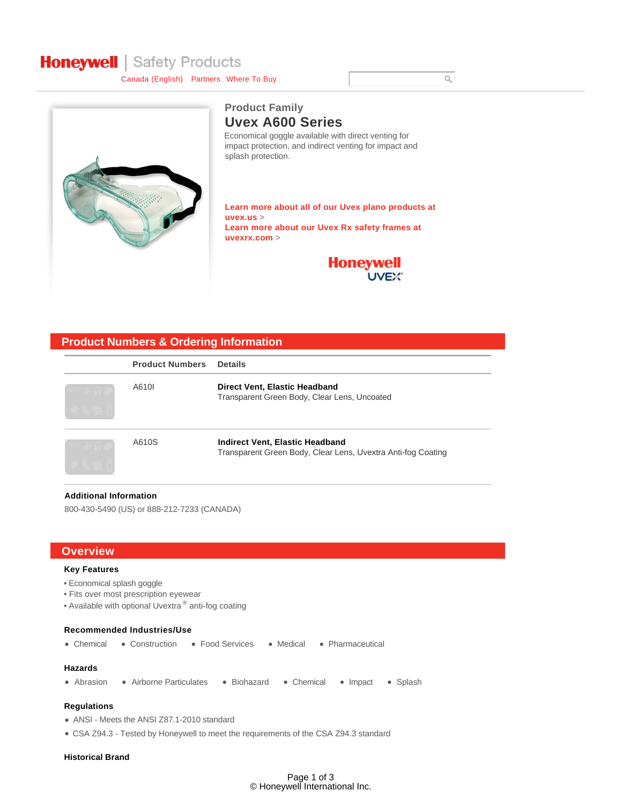# **Honeywell** | Safety Products

Canada (English) Partners Where To Buy



### **Uvex A600 Series Product Family**

Economical goggle available with direct venting for impact protection, and indirect venting for impact and splash protection.

**Learn more about all of our Uvex plano products at uvex.us > Learn more about our Uvex Rx safety frames at uvexrx.com >**



### **Product Numbers & Ordering Information**

| <b>Product Numbers</b> | <b>Details</b>                                                                                         |
|------------------------|--------------------------------------------------------------------------------------------------------|
| A610I                  | Direct Vent, Elastic Headband<br>Transparent Green Body, Clear Lens, Uncoated                          |
| A610S                  | <b>Indirect Vent, Elastic Headband</b><br>Transparent Green Body, Clear Lens, Uvextra Anti-fog Coating |

#### **Additional Information**

800-430-5490 (US) or 888-212-7233 (CANADA)

#### **Overview**

#### **Key Features**

- Economical splash goggle
- Fits over most prescription eyewear
- Available with optional Uvextra  $^{\circledR}$  anti-fog coating

#### **Recommended Industries/Use**

• Chemical • Construction • Food Services • Medical • Pharmaceutical

#### **Hazards**

• Abrasion • Airborne Particulates • Biohazard • Chemical • Impact • Splash

#### **Regulations**

- ANSI Meets the ANSI Z87.1-2010 standard
- CSA Z94.3 Tested by Honeywell to meet the requirements of the CSA Z94.3 standard

#### **Historical Brand**

 $\hbox{O}$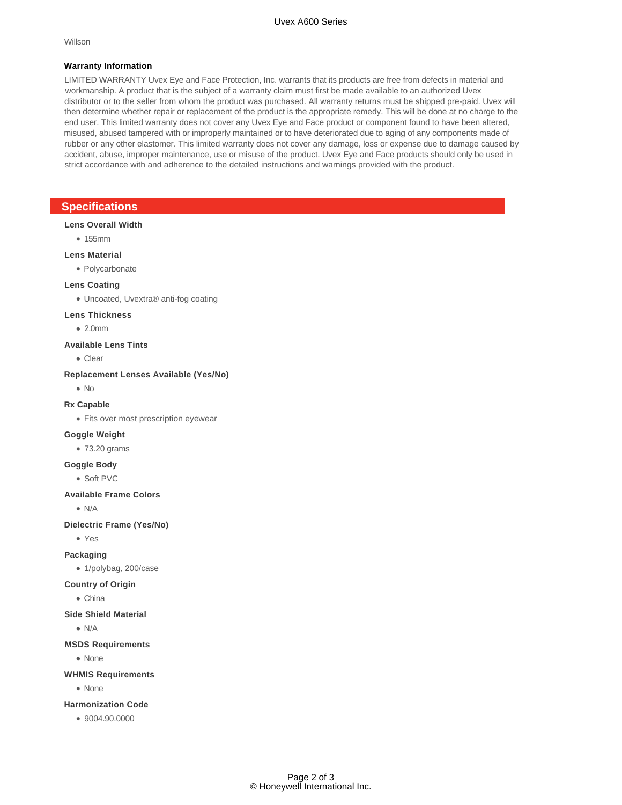Willson

#### **Warranty Information**

LIMITED WARRANTY Uvex Eye and Face Protection, Inc. warrants that its products are free from defects in material and workmanship. A product that is the subject of a warranty claim must first be made available to an authorized Uvex distributor or to the seller from whom the product was purchased. All warranty returns must be shipped pre-paid. Uvex will then determine whether repair or replacement of the product is the appropriate remedy. This will be done at no charge to the end user. This limited warranty does not cover any Uvex Eye and Face product or component found to have been altered, misused, abused tampered with or improperly maintained or to have deteriorated due to aging of any components made of rubber or any other elastomer. This limited warranty does not cover any damage, loss or expense due to damage caused by accident, abuse, improper maintenance, use or misuse of the product. Uvex Eye and Face products should only be used in strict accordance with and adherence to the detailed instructions and warnings provided with the product.

#### **Specifications**

#### **Lens Overall Width**

• 155mm

#### **Lens Material**

Polycarbonate

#### **Lens Coating**

Uncoated, Uvextra® anti-fog coating

#### **Lens Thickness**

 $\bullet$  2.0mm

#### **Available Lens Tints**

Clear

#### **Replacement Lenses Available (Yes/No)**

No

#### **Rx Capable**

• Fits over most prescription eyewear

#### **Goggle Weight**

• 73.20 grams

## **Goggle Body**

Soft PVC

#### **Available Frame Colors**

 $\bullet$  N/A

#### **Dielectric Frame (Yes/No)**

Yes

#### **Packaging**

1/polybag, 200/case

#### **Country of Origin**

- China
- **Side Shield Material**

 $\bullet$  N/A

#### **MSDS Requirements**

• None

#### **WHMIS Requirements**

• None

#### **Harmonization Code**

9004.90.0000